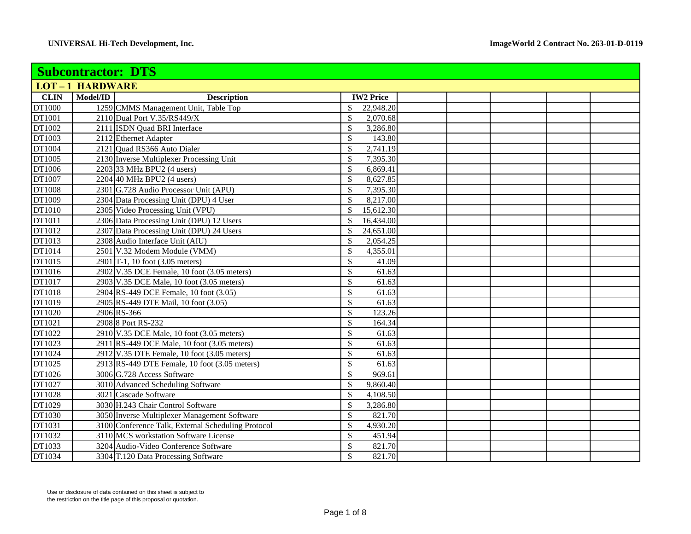| <b>Subcontractor: DTS</b> |                       |                                                    |                          |  |  |  |  |
|---------------------------|-----------------------|----------------------------------------------------|--------------------------|--|--|--|--|
|                           | <b>LOT-1 HARDWARE</b> |                                                    |                          |  |  |  |  |
| <b>CLIN</b>               | Model/ID              | <b>Description</b>                                 | <b>IW2 Price</b>         |  |  |  |  |
| DT1000                    |                       | 1259 CMMS Management Unit, Table Top               | 22,948.20<br>\$          |  |  |  |  |
| DT1001                    |                       | 2110 Dual Port V.35/RS449/X                        | \$<br>2,070.68           |  |  |  |  |
| DT1002                    |                       | 2111 ISDN Quad BRI Interface                       | \$<br>3,286.80           |  |  |  |  |
| DT1003                    |                       | 2112 Ethernet Adapter                              | 143.80<br>\$             |  |  |  |  |
| DT1004                    |                       | 2121 Ouad RS366 Auto Dialer                        | \$<br>2,741.19           |  |  |  |  |
| DT1005                    |                       | 2130 Inverse Multiplexer Processing Unit           | 7,395.30<br>\$           |  |  |  |  |
| DT1006                    |                       | 2203 33 MHz BPU2 (4 users)                         | \$<br>6,869.41           |  |  |  |  |
| DT1007                    |                       | 2204 40 MHz BPU2 (4 users)                         | \$<br>8,627.85           |  |  |  |  |
| DT1008                    |                       | 2301 G.728 Audio Processor Unit (APU)              | 7,395.30<br>\$           |  |  |  |  |
| DT1009                    |                       | 2304 Data Processing Unit (DPU) 4 User             | 8,217.00<br>\$           |  |  |  |  |
| DT1010                    |                       | 2305 Video Processing Unit (VPU)                   | \$<br>15,612.30          |  |  |  |  |
| DT1011                    |                       | 2306 Data Processing Unit (DPU) 12 Users           | \$<br>16,434.00          |  |  |  |  |
| DT1012                    |                       | 2307 Data Processing Unit (DPU) 24 Users           | 24,651.00<br>\$          |  |  |  |  |
| DT1013                    |                       | 2308 Audio Interface Unit (AIU)                    | \$<br>2,054.25           |  |  |  |  |
| DT1014                    |                       | 2501 V.32 Modem Module (VMM)                       | \$<br>4,355.01           |  |  |  |  |
| DT1015                    |                       | 2901 T-1, 10 foot (3.05 meters)                    | \$<br>41.09              |  |  |  |  |
| DT1016                    |                       | 2902 V.35 DCE Female, 10 foot (3.05 meters)        | 61.63<br>\$              |  |  |  |  |
| DT1017                    |                       | 2903 V.35 DCE Male, 10 foot (3.05 meters)          | \$<br>61.63              |  |  |  |  |
| DT1018                    |                       | 2904 RS-449 DCE Female, 10 foot (3.05)             | 61.63<br>\$              |  |  |  |  |
| DT1019                    |                       | 2905 RS-449 DTE Mail, 10 foot (3.05)               | \$<br>61.63              |  |  |  |  |
| DT1020                    |                       | 2906 RS-366                                        | \$<br>123.26             |  |  |  |  |
| DT1021                    |                       | 2908 8 Port RS-232                                 | \$<br>164.34             |  |  |  |  |
| DT1022                    |                       | 2910 V.35 DCE Male, 10 foot (3.05 meters)          | \$<br>61.63              |  |  |  |  |
| DT1023                    |                       | 2911 RS-449 DCE Male, 10 foot (3.05 meters)        | 61.63<br>\$              |  |  |  |  |
| DT1024                    |                       | $2912$ V.35 DTE Female, 10 foot (3.05 meters)      | \$<br>61.63              |  |  |  |  |
| DT1025                    |                       | 2913 RS-449 DTE Female, 10 foot (3.05 meters)      | $61.\overline{63}$<br>\$ |  |  |  |  |
| DT1026                    |                       | 3006 G.728 Access Software                         | 969.61<br>\$             |  |  |  |  |
| DT1027                    |                       | 3010 Advanced Scheduling Software                  | \$<br>9,860.40           |  |  |  |  |
| DT1028                    |                       | 3021 Cascade Software                              | \$<br>4,108.50           |  |  |  |  |
| DT1029                    |                       | 3030 H.243 Chair Control Software                  | \$<br>3,286.80           |  |  |  |  |
| DT1030                    |                       | 3050 Inverse Multiplexer Management Software       | \$<br>821.70             |  |  |  |  |
| DT1031                    |                       | 3100 Conference Talk, External Scheduling Protocol | 4,930.20<br>\$           |  |  |  |  |
| DT1032                    |                       | 3110 MCS workstation Software License              | \$<br>451.94             |  |  |  |  |
| DT1033                    |                       | 3204 Audio-Video Conference Software               | \$<br>821.70             |  |  |  |  |
| DT1034                    |                       | 3304 T.120 Data Processing Software                | $\mathbb{S}$<br>821.70   |  |  |  |  |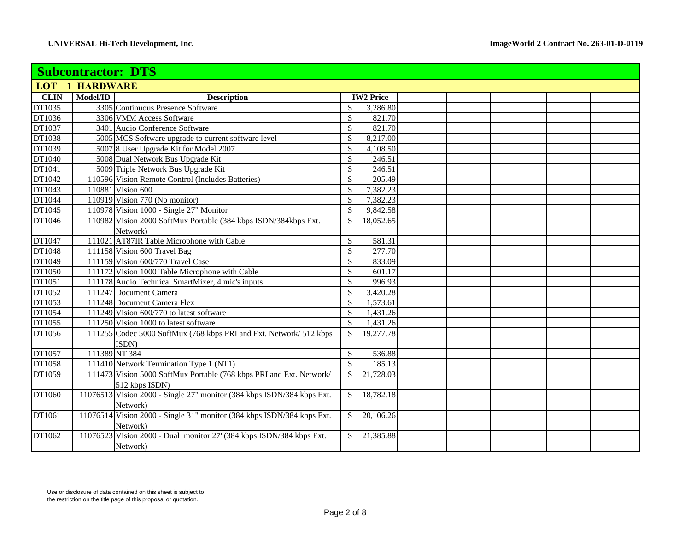|             | <b>Subcontractor: DTS</b> |                                                                        |                  |          |  |  |  |  |
|-------------|---------------------------|------------------------------------------------------------------------|------------------|----------|--|--|--|--|
|             | <b>LOT-1 HARDWARE</b>     |                                                                        |                  |          |  |  |  |  |
| <b>CLIN</b> | Model/ID                  | <b>Description</b>                                                     | <b>IW2 Price</b> |          |  |  |  |  |
| DT1035      |                           | 3305 Continuous Presence Software                                      | \$               | 3,286.80 |  |  |  |  |
| DT1036      |                           | 3306 VMM Access Software                                               | \$               | 821.70   |  |  |  |  |
| DT1037      |                           | 3401 Audio Conference Software                                         | \$               | 821.70   |  |  |  |  |
| DT1038      |                           | 5005 MCS Software upgrade to current software level                    | 8,217.00<br>\$   |          |  |  |  |  |
| DT1039      |                           | 5007 8 User Upgrade Kit for Model 2007                                 | \$<br>4,108.50   |          |  |  |  |  |
| DT1040      |                           | 5008 Dual Network Bus Upgrade Kit                                      | \$               | 246.51   |  |  |  |  |
| DT1041      |                           | 5009 Triple Network Bus Upgrade Kit                                    | \$               | 246.51   |  |  |  |  |
| DT1042      |                           | 110596 Vision Remote Control (Includes Batteries)                      | \$               | 205.49   |  |  |  |  |
| DT1043      |                           | 110881 Vision 600                                                      | \$<br>7,382.23   |          |  |  |  |  |
| DT1044      |                           | 110919 Vision 770 (No monitor)                                         | \$<br>7,382.23   |          |  |  |  |  |
| DT1045      |                           | 110978 Vision 1000 - Single 27" Monitor                                | \$<br>9,842.58   |          |  |  |  |  |
| DT1046      |                           | 110982 Vision 2000 SoftMux Portable (384 kbps ISDN/384kbps Ext.        | 18,052.65<br>\$  |          |  |  |  |  |
|             |                           | Network)                                                               |                  |          |  |  |  |  |
| DT1047      |                           | 111021 AT87IR Table Microphone with Cable                              | \$               | 581.31   |  |  |  |  |
| DT1048      |                           | 111158 Vision 600 Travel Bag                                           | \$               | 277.70   |  |  |  |  |
| DT1049      |                           | 111159 Vision 600/770 Travel Case                                      | \$               | 833.09   |  |  |  |  |
| DT1050      |                           | 111172 Vision 1000 Table Microphone with Cable                         | \$               | 601.17   |  |  |  |  |
| DT1051      |                           | 111178 Audio Technical SmartMixer, 4 mic's inputs                      | \$               | 996.93   |  |  |  |  |
| DT1052      |                           | 111247 Document Camera                                                 | 3,420.28<br>\$   |          |  |  |  |  |
| DT1053      |                           | 111248 Document Camera Flex                                            | \$<br>1,573.61   |          |  |  |  |  |
| DT1054      |                           | 111249 Vision 600/770 to latest software                               | \$<br>1,431.26   |          |  |  |  |  |
| DT1055      |                           | 111250 Vision 1000 to latest software                                  | \$<br>1,431.26   |          |  |  |  |  |
| DT1056      |                           | 111255 Codec 5000 SoftMux (768 kbps PRI and Ext. Network/ 512 kbps     | 19,277.78<br>\$  |          |  |  |  |  |
|             |                           | ISDN)                                                                  |                  |          |  |  |  |  |
| DT1057      |                           | 111389 NT 384                                                          | \$               | 536.88   |  |  |  |  |
| DT1058      |                           | 111410 Network Termination Type 1 (NT1)                                | $\mathbb{S}$     | 185.13   |  |  |  |  |
| DT1059      |                           | 111473 Vision 5000 SoftMux Portable (768 kbps PRI and Ext. Network/    | 21,728.03<br>\$  |          |  |  |  |  |
|             |                           | 512 kbps ISDN)                                                         |                  |          |  |  |  |  |
| DT1060      |                           | 11076513 Vision 2000 - Single 27" monitor (384 kbps ISDN/384 kbps Ext. | 18,782.18<br>\$  |          |  |  |  |  |
|             |                           | Network)                                                               |                  |          |  |  |  |  |
| DT1061      |                           | 11076514 Vision 2000 - Single 31" monitor (384 kbps ISDN/384 kbps Ext. | \$<br>20,106.26  |          |  |  |  |  |
|             |                           | Network)                                                               |                  |          |  |  |  |  |
| DT1062      |                           | 11076523 Vision 2000 - Dual monitor 27"(384 kbps ISDN/384 kbps Ext.    | 21,385.88<br>\$  |          |  |  |  |  |
|             |                           | Network)                                                               |                  |          |  |  |  |  |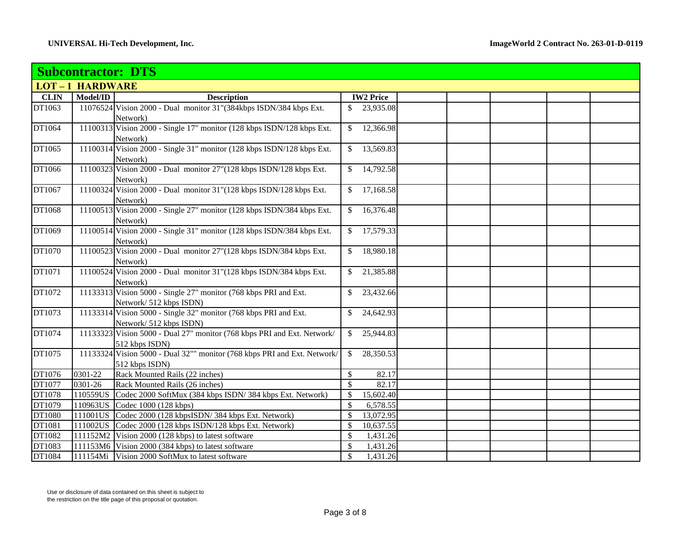|             | <b>Subcontractor: DTS</b> |                                                                              |               |                  |  |  |  |  |  |
|-------------|---------------------------|------------------------------------------------------------------------------|---------------|------------------|--|--|--|--|--|
|             | <b>LOT-1 HARDWARE</b>     |                                                                              |               |                  |  |  |  |  |  |
| <b>CLIN</b> | Model/ID                  | <b>Description</b>                                                           |               | <b>IW2 Price</b> |  |  |  |  |  |
| DT1063      |                           | 11076524 Vision 2000 - Dual monitor 31"(384kbps ISDN/384 kbps Ext.           | \$            | 23,935.08        |  |  |  |  |  |
|             |                           | Network)                                                                     |               |                  |  |  |  |  |  |
| DT1064      |                           | 11100313 Vision 2000 - Single 17" monitor (128 kbps ISDN/128 kbps Ext.       | \$            | 12,366.98        |  |  |  |  |  |
|             |                           | Network)                                                                     |               |                  |  |  |  |  |  |
| DT1065      |                           | 11100314 Vision 2000 - Single 31" monitor (128 kbps ISDN/128 kbps Ext.       | \$            | 13,569.83        |  |  |  |  |  |
|             |                           | Network)                                                                     |               |                  |  |  |  |  |  |
| DT1066      |                           | 11100323 Vision 2000 - Dual monitor 27"(128 kbps ISDN/128 kbps Ext.          | \$            | 14,792.58        |  |  |  |  |  |
|             |                           | Network)                                                                     |               |                  |  |  |  |  |  |
| DT1067      |                           | 11100324 Vision 2000 - Dual monitor 31"(128 kbps ISDN/128 kbps Ext.          | \$            | 17,168.58        |  |  |  |  |  |
|             |                           | Network)                                                                     |               |                  |  |  |  |  |  |
| DT1068      |                           | 11100513 Vision 2000 - Single 27" monitor (128 kbps ISDN/384 kbps Ext.       | \$            | 16,376.48        |  |  |  |  |  |
|             |                           | Network)                                                                     |               |                  |  |  |  |  |  |
| DT1069      |                           | 11100514 Vision 2000 - Single 31" monitor (128 kbps ISDN/384 kbps Ext.       | \$            | 17,579.33        |  |  |  |  |  |
|             |                           | Network)                                                                     |               |                  |  |  |  |  |  |
| DT1070      |                           | 11100523 Vision 2000 - Dual monitor 27"(128 kbps ISDN/384 kbps Ext.          | \$            | 18,980.18        |  |  |  |  |  |
|             |                           | Network)                                                                     |               |                  |  |  |  |  |  |
| DT1071      |                           | 11100524 Vision 2000 - Dual monitor 31"(128 kbps ISDN/384 kbps Ext.          | \$            | 21,385.88        |  |  |  |  |  |
| DT1072      |                           | Network)<br>11133313 Vision 5000 - Single 27" monitor (768 kbps PRI and Ext. | \$            | 23,432.66        |  |  |  |  |  |
|             |                           | Network/ 512 kbps ISDN)                                                      |               |                  |  |  |  |  |  |
| DT1073      |                           | 11133314 Vision 5000 - Single 32" monitor (768 kbps PRI and Ext.             |               | 24,642.93        |  |  |  |  |  |
|             |                           | Network/ 512 kbps ISDN)                                                      |               |                  |  |  |  |  |  |
| DT1074      |                           | 11133323 Vision 5000 - Dual 27" monitor (768 kbps PRI and Ext. Network/      | $\mathbb{S}$  | 25,944.83        |  |  |  |  |  |
|             |                           | 512 kbps ISDN)                                                               |               |                  |  |  |  |  |  |
| DT1075      |                           | 11133324 Vision 5000 - Dual 32"" monitor (768 kbps PRI and Ext. Network/     | \$            | 28,350.53        |  |  |  |  |  |
|             |                           | 512 kbps ISDN)                                                               |               |                  |  |  |  |  |  |
| DT1076      | 0301-22                   | Rack Mounted Rails (22 inches)                                               | \$            | 82.17            |  |  |  |  |  |
| DT1077      | 0301-26                   | Rack Mounted Rails (26 inches)                                               | $\mathcal{S}$ | 82.17            |  |  |  |  |  |
| DT1078      | 110559US                  | Codec 2000 SoftMux (384 kbps ISDN/384 kbps Ext. Network)                     | \$            | 15,602.40        |  |  |  |  |  |
| DT1079      |                           | 110963US Codec 1000 (128 kbps)                                               | $\mathbb{S}$  | 6,578.55         |  |  |  |  |  |
| DT1080      |                           | 111001US Codec 2000 (128 kbpsISDN/384 kbps Ext. Network)                     | \$            | 13,072.95        |  |  |  |  |  |
| DT1081      |                           | 111002US Codec 2000 (128 kbps ISDN/128 kbps Ext. Network)                    | \$            | 10,637.55        |  |  |  |  |  |
| DT1082      |                           | 111152M2 Vision 2000 (128 kbps) to latest software                           | $\mathbb{S}$  | 1,431.26         |  |  |  |  |  |
| DT1083      |                           | 111153M6 Vision 2000 (384 kbps) to latest software                           | \$            | 1,431.26         |  |  |  |  |  |
| DT1084      |                           | 111154Mi Vision 2000 SoftMux to latest software                              | $\mathbb{S}$  | 1,431.26         |  |  |  |  |  |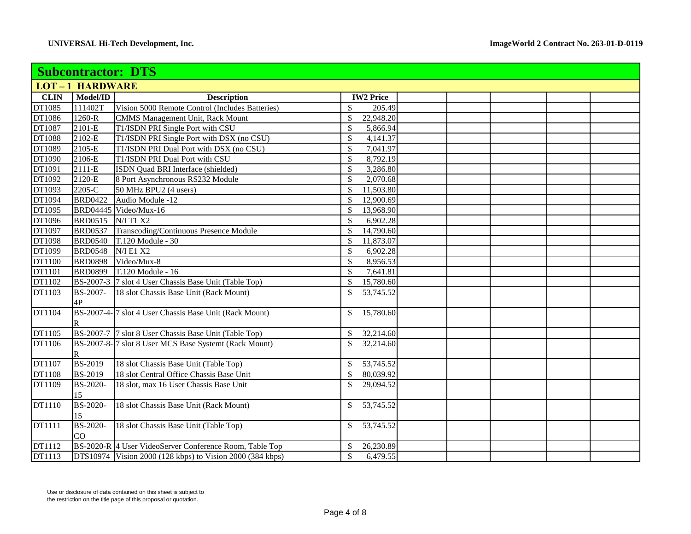|        | <b>Subcontractor: DTS</b> |                                                                    |                             |  |  |  |  |
|--------|---------------------------|--------------------------------------------------------------------|-----------------------------|--|--|--|--|
|        | <b>LOT-1 HARDWARE</b>     |                                                                    |                             |  |  |  |  |
| CLIN   | Model/ID                  | <b>Description</b>                                                 | <b>IW2 Price</b>            |  |  |  |  |
| DT1085 | 111402T                   | Vision 5000 Remote Control (Includes Batteries)                    | 205.49<br>\$                |  |  |  |  |
| DT1086 | 1260-R                    | CMMS Management Unit, Rack Mount                                   | 22,948.20<br>\$             |  |  |  |  |
| DT1087 | 2101-E                    | T1/ISDN PRI Single Port with CSU                                   | \$<br>5,866.94              |  |  |  |  |
| DT1088 | $\overline{2}102-E$       | T1/ISDN PRI Single Port with DSX (no CSU)                          | \$<br>4,141.37              |  |  |  |  |
| DT1089 | 2105-E                    | T1/ISDN PRI Dual Port with DSX (no CSU)                            | 7,041.97<br>\$              |  |  |  |  |
| DT1090 | 2106-E                    | T1/ISDN PRI Dual Port with CSU                                     | \$<br>8,792.19              |  |  |  |  |
| DT1091 | 2111-E                    | <b>ISDN</b> Quad BRI Interface (shielded)                          | $\mathbb{S}$<br>3,286.80    |  |  |  |  |
| DT1092 | 2120-E                    | 8 Port Asynchronous RS232 Module                                   | \$<br>2,070.68              |  |  |  |  |
| DT1093 | 2205-C                    | 50 MHz BPU2 (4 users)                                              | \$<br>11,503.80             |  |  |  |  |
| DT1094 | <b>BRD0422</b>            | Audio Module -12                                                   | \$<br>12,900.69             |  |  |  |  |
| DT1095 |                           | BRD04445 Video/Mux-16                                              | 13,968.90<br>\$             |  |  |  |  |
| DT1096 | <b>BRD0515</b>            | N/I T1 X2                                                          | \$<br>6,902.28              |  |  |  |  |
| DT1097 | <b>BRD0537</b>            | Transcoding/Continuous Presence Module                             | \$<br>14,790.60             |  |  |  |  |
| DT1098 | <b>BRD0540</b>            | T.120 Module - 30                                                  | \$<br>11,873.07             |  |  |  |  |
| DT1099 | <b>BRD0548</b>            | <b>N/I E1 X2</b>                                                   | \$<br>6,902.28              |  |  |  |  |
| DT1100 | <b>BRD0898</b>            | Video/Mux-8                                                        | \$<br>8,956.53              |  |  |  |  |
| DT1101 | <b>BRD0899</b>            | T.120 Module - 16                                                  | \$<br>7,641.81              |  |  |  |  |
| DT1102 |                           | BS-2007-3 7 slot 4 User Chassis Base Unit (Table Top)              | \$<br>15,780.60             |  |  |  |  |
| DT1103 | <b>BS-2007-</b>           | 18 slot Chassis Base Unit (Rack Mount)                             | \$<br>53,745.52             |  |  |  |  |
|        | 4P                        |                                                                    |                             |  |  |  |  |
| DT1104 |                           | BS-2007-4- <sup>7</sup> slot 4 User Chassis Base Unit (Rack Mount) | 15,780.60<br>\$.            |  |  |  |  |
|        | $\mathbb R$               |                                                                    |                             |  |  |  |  |
| DT1105 |                           | BS-2007-7 7 slot 8 User Chassis Base Unit (Table Top)              | 32,214.60<br>\$             |  |  |  |  |
| DT1106 |                           | BS-2007-8-7 slot 8 User MCS Base Systemt (Rack Mount)              | \$<br>32,214.60             |  |  |  |  |
|        | R                         |                                                                    |                             |  |  |  |  |
| DT1107 | <b>BS-2019</b>            | 18 slot Chassis Base Unit (Table Top)                              | 53,745.52<br>\$             |  |  |  |  |
| DT1108 | <b>BS-2019</b>            | 18 slot Central Office Chassis Base Unit                           | \$<br>80,039.92             |  |  |  |  |
| DT1109 | <b>BS-2020-</b>           | 18 slot, max 16 User Chassis Base Unit                             | 29,094.52<br>\$             |  |  |  |  |
|        | 15                        |                                                                    |                             |  |  |  |  |
| DT1110 | BS-2020-                  | 18 slot Chassis Base Unit (Rack Mount)                             | 53,745.52<br>$\mathbb{S}^-$ |  |  |  |  |
|        | 15                        |                                                                    |                             |  |  |  |  |
| DT1111 | <b>BS-2020-</b>           | 18 slot Chassis Base Unit (Table Top)                              | 53,745.52<br>\$             |  |  |  |  |
|        | CO                        |                                                                    |                             |  |  |  |  |
| DT1112 |                           | BS-2020-R 4 User VideoServer Conference Room, Table Top            | 26,230.89<br>\$             |  |  |  |  |
| DT1113 |                           | DTS10974 Vision 2000 (128 kbps) to Vision 2000 (384 kbps)          | $\mathbb{S}$<br>6,479.55    |  |  |  |  |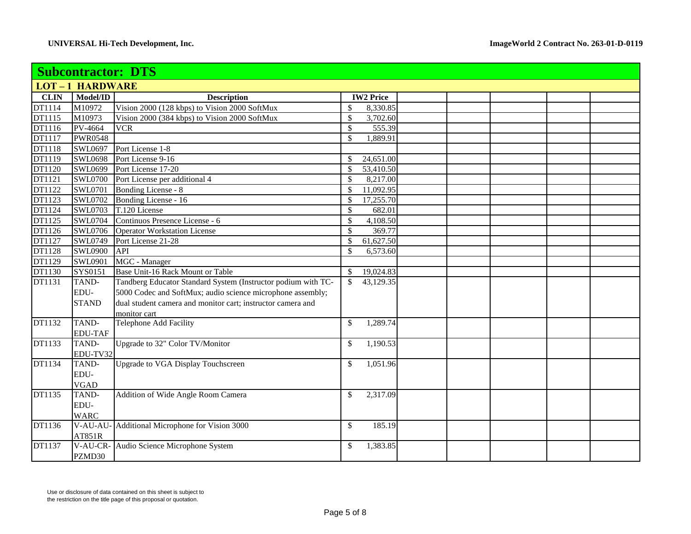|               | <b>Subcontractor: DTS</b> |                                                               |                  |  |  |  |  |  |  |
|---------------|---------------------------|---------------------------------------------------------------|------------------|--|--|--|--|--|--|
|               | <b>LOT-1 HARDWARE</b>     |                                                               |                  |  |  |  |  |  |  |
| <b>CLIN</b>   | Model/ID                  | <b>Description</b>                                            | <b>IW2 Price</b> |  |  |  |  |  |  |
| DT1114        | M10972                    | Vision 2000 (128 kbps) to Vision 2000 SoftMux                 | \$<br>8,330.85   |  |  |  |  |  |  |
| DT1115        | M10973                    | Vision 2000 (384 kbps) to Vision 2000 SoftMux                 | \$<br>3,702.60   |  |  |  |  |  |  |
| DT1116        | PV-4664                   | <b>VCR</b>                                                    | \$<br>555.39     |  |  |  |  |  |  |
| DT1117        | <b>PWR0548</b>            |                                                               | \$<br>1,889.91   |  |  |  |  |  |  |
| DT1118        | SWL0697                   | Port License 1-8                                              |                  |  |  |  |  |  |  |
| DT1119        | SWL0698                   | Port License 9-16                                             | 24,651.00<br>\$  |  |  |  |  |  |  |
| DT1120        | SWL0699                   | Port License 17-20                                            | \$<br>53,410.50  |  |  |  |  |  |  |
| DT1121        | <b>SWL0700</b>            | Port License per additional 4                                 | \$<br>8,217.00   |  |  |  |  |  |  |
| DT1122        | <b>SWL0701</b>            | Bonding License - 8                                           | \$<br>11,092.95  |  |  |  |  |  |  |
| DT1123        | <b>SWL0702</b>            | Bonding License - 16                                          | 17,255.70<br>\$  |  |  |  |  |  |  |
| DT1124        | <b>SWL0703</b>            | T.120 License                                                 | \$<br>682.01     |  |  |  |  |  |  |
| DT1125        | <b>SWL0704</b>            | Continuos Presence License - 6                                | \$<br>4,108.50   |  |  |  |  |  |  |
| DT1126        | <b>SWL0706</b>            | <b>Operator Workstation License</b>                           | 369.77<br>\$     |  |  |  |  |  |  |
| DT1127        | SWL0749                   | Port License 21-28                                            | \$<br>61,627.50  |  |  |  |  |  |  |
| <b>DT1128</b> | <b>SWL0900</b>            | API                                                           | \$<br>6,573.60   |  |  |  |  |  |  |
| DT1129        | <b>SWL0901</b>            | MGC - Manager                                                 |                  |  |  |  |  |  |  |
| DT1130        | SYS0151                   | Base Unit-16 Rack Mount or Table                              | 19,024.83<br>\$  |  |  |  |  |  |  |
| DT1131        | TAND-                     | Tandberg Educator Standard System (Instructor podium with TC- | \$<br>43,129.35  |  |  |  |  |  |  |
|               | EDU-                      | 5000 Codec and SoftMux; audio science microphone assembly;    |                  |  |  |  |  |  |  |
|               | <b>STAND</b>              | dual student camera and monitor cart; instructor camera and   |                  |  |  |  |  |  |  |
|               |                           | monitor cart                                                  |                  |  |  |  |  |  |  |
| DT1132        | TAND-                     | Telephone Add Facility                                        | \$<br>1,289.74   |  |  |  |  |  |  |
|               | <b>EDU-TAF</b>            |                                                               |                  |  |  |  |  |  |  |
| DT1133        | TAND-                     | Upgrade to 32" Color TV/Monitor                               | \$<br>1,190.53   |  |  |  |  |  |  |
|               | EDU-TV32                  |                                                               |                  |  |  |  |  |  |  |
| DT1134        | TAND-                     | <b>Upgrade to VGA Display Touchscreen</b>                     | \$<br>1,051.96   |  |  |  |  |  |  |
|               | EDU-                      |                                                               |                  |  |  |  |  |  |  |
|               | <b>VGAD</b>               |                                                               |                  |  |  |  |  |  |  |
| DT1135        | TAND-                     | Addition of Wide Angle Room Camera                            | \$<br>2,317.09   |  |  |  |  |  |  |
|               | EDU-                      |                                                               |                  |  |  |  |  |  |  |
|               | <b>WARC</b>               |                                                               |                  |  |  |  |  |  |  |
| DT1136        | V-AU-AU-                  | Additional Microphone for Vision 3000                         | \$<br>185.19     |  |  |  |  |  |  |
|               | AT851R                    |                                                               |                  |  |  |  |  |  |  |
| DT1137        |                           | V-AU-CR- Audio Science Microphone System                      | \$<br>1,383.85   |  |  |  |  |  |  |
|               | PZMD30                    |                                                               |                  |  |  |  |  |  |  |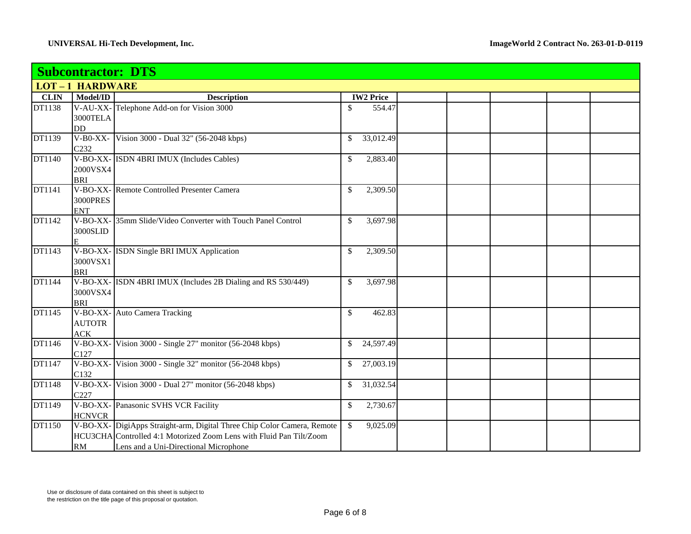|             | <b>Subcontractor: DTS</b> |                                                                         |              |                  |  |  |  |  |  |
|-------------|---------------------------|-------------------------------------------------------------------------|--------------|------------------|--|--|--|--|--|
|             | <b>LOT-1 HARDWARE</b>     |                                                                         |              |                  |  |  |  |  |  |
| <b>CLIN</b> | Model/ID                  | <b>Description</b>                                                      |              | <b>IW2 Price</b> |  |  |  |  |  |
| DT1138      |                           | V-AU-XX-Telephone Add-on for Vision 3000                                | \$           | 554.47           |  |  |  |  |  |
|             | 3000TELA                  |                                                                         |              |                  |  |  |  |  |  |
|             | <b>DD</b>                 |                                                                         |              |                  |  |  |  |  |  |
| DT1139      | $V-B0-XX-$                | Vision 3000 - Dual 32" (56-2048 kbps)                                   | \$           | 33,012.49        |  |  |  |  |  |
|             | C <sub>232</sub>          |                                                                         |              |                  |  |  |  |  |  |
| DT1140      |                           | V-BO-XX- ISDN 4BRI IMUX (Includes Cables)                               | $\mathbb{S}$ | 2,883.40         |  |  |  |  |  |
|             | 2000VSX4                  |                                                                         |              |                  |  |  |  |  |  |
|             | <b>BRI</b>                |                                                                         |              |                  |  |  |  |  |  |
| DT1141      |                           | V-BO-XX-Remote Controlled Presenter Camera                              | $\mathbb{S}$ | 2,309.50         |  |  |  |  |  |
|             | <b>3000PRES</b>           |                                                                         |              |                  |  |  |  |  |  |
|             | <b>ENT</b>                |                                                                         |              |                  |  |  |  |  |  |
| DT1142      |                           | V-BO-XX- 35mm Slide/Video Converter with Touch Panel Control            | $\mathbb{S}$ | 3,697.98         |  |  |  |  |  |
|             | 3000SLID                  |                                                                         |              |                  |  |  |  |  |  |
|             | E                         |                                                                         |              |                  |  |  |  |  |  |
| DT1143      |                           | V-BO-XX- ISDN Single BRI IMUX Application                               | \$           | 2,309.50         |  |  |  |  |  |
|             | 3000VSX1                  |                                                                         |              |                  |  |  |  |  |  |
|             | <b>BRI</b>                |                                                                         |              |                  |  |  |  |  |  |
| DT1144      |                           | V-BO-XX- ISDN 4BRI IMUX (Includes 2B Dialing and RS 530/449)            | $\mathbb{S}$ | 3,697.98         |  |  |  |  |  |
|             | 3000VSX4                  |                                                                         |              |                  |  |  |  |  |  |
| DT1145      | <b>BRI</b>                |                                                                         |              |                  |  |  |  |  |  |
|             |                           | V-BO-XX- Auto Camera Tracking                                           | $\mathbb{S}$ | 462.83           |  |  |  |  |  |
|             | <b>AUTOTR</b>             |                                                                         |              |                  |  |  |  |  |  |
| DT1146      | ACK                       | V-BO-XX- Vision 3000 - Single 27" monitor (56-2048 kbps)                | \$           | 24,597.49        |  |  |  |  |  |
|             | C127                      |                                                                         |              |                  |  |  |  |  |  |
| DT1147      |                           | V-BO-XX- Vision 3000 - Single 32" monitor (56-2048 kbps)                | \$           | 27,003.19        |  |  |  |  |  |
|             | C132                      |                                                                         |              |                  |  |  |  |  |  |
| DT1148      |                           | V-BO-XX- Vision 3000 - Dual 27" monitor (56-2048 kbps)                  | \$           | 31,032.54        |  |  |  |  |  |
|             | C227                      |                                                                         |              |                  |  |  |  |  |  |
| DT1149      |                           | V-BO-XX- Panasonic SVHS VCR Facility                                    | \$           | 2,730.67         |  |  |  |  |  |
|             | <b>HCNVCR</b>             |                                                                         |              |                  |  |  |  |  |  |
| DT1150      |                           | V-BO-XX- DigiApps Straight-arm, Digital Three Chip Color Camera, Remote | $\mathbb{S}$ | 9,025.09         |  |  |  |  |  |
|             |                           | HCU3CHA Controlled 4:1 Motorized Zoom Lens with Fluid Pan Tilt/Zoom     |              |                  |  |  |  |  |  |
|             | RM                        | Lens and a Uni-Directional Microphone                                   |              |                  |  |  |  |  |  |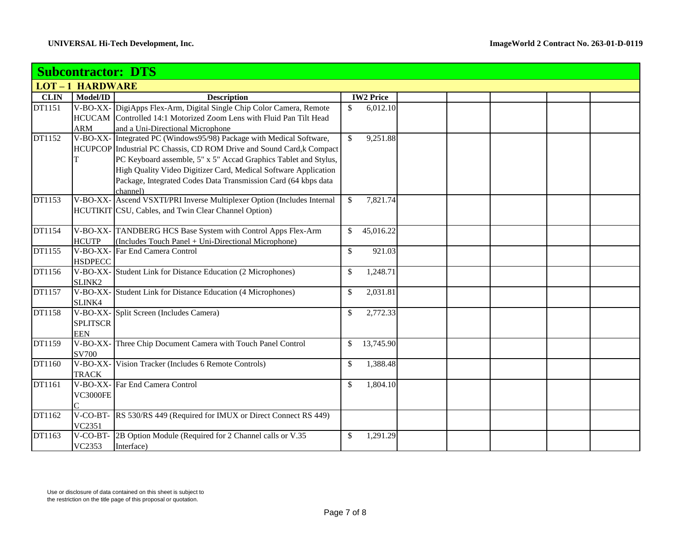|             |                       | <b>Subcontractor: DTS</b>                                               |              |                  |  |  |  |
|-------------|-----------------------|-------------------------------------------------------------------------|--------------|------------------|--|--|--|
|             | <b>LOT-1 HARDWARE</b> |                                                                         |              |                  |  |  |  |
| <b>CLIN</b> | Model/ID              | <b>Description</b>                                                      |              | <b>IW2 Price</b> |  |  |  |
| DT1151      |                       | V-BO-XX- DigiApps Flex-Arm, Digital Single Chip Color Camera, Remote    | \$           | 6,012.10         |  |  |  |
|             |                       | HCUCAM Controlled 14:1 Motorized Zoom Lens with Fluid Pan Tilt Head     |              |                  |  |  |  |
|             | ARM                   | and a Uni-Directional Microphone                                        |              |                  |  |  |  |
| DT1152      |                       | V-BO-XX- Integrated PC (Windows95/98) Package with Medical Software,    | \$           | 9,251.88         |  |  |  |
|             |                       | HCUPCOP Industrial PC Chassis, CD ROM Drive and Sound Card,k Compact    |              |                  |  |  |  |
|             | т                     | PC Keyboard assemble, 5" x 5" Accad Graphics Tablet and Stylus,         |              |                  |  |  |  |
|             |                       | High Quality Video Digitizer Card, Medical Software Application         |              |                  |  |  |  |
|             |                       | Package, Integrated Codes Data Transmission Card (64 kbps data          |              |                  |  |  |  |
|             |                       | channel)                                                                |              |                  |  |  |  |
| DT1153      |                       | V-BO-XX- Ascend VSXTI/PRI Inverse Multiplexer Option (Includes Internal | $\mathbb{S}$ | 7,821.74         |  |  |  |
|             |                       | HCUTIKIT CSU, Cables, and Twin Clear Channel Option)                    |              |                  |  |  |  |
|             |                       |                                                                         |              |                  |  |  |  |
| DT1154      |                       | V-BO-XX-TANDBERG HCS Base System with Control Apps Flex-Arm             | \$           | 45,016.22        |  |  |  |
|             | <b>HCUTP</b>          | (Includes Touch Panel + Uni-Directional Microphone)                     |              |                  |  |  |  |
| DT1155      |                       | V-BO-XX- Far End Camera Control                                         | \$           | 921.03           |  |  |  |
|             | <b>HSDPECC</b>        |                                                                         |              |                  |  |  |  |
| DT1156      |                       | V-BO-XX- Student Link for Distance Education (2 Microphones)            | \$           | 1,248.71         |  |  |  |
|             | SLINK2                |                                                                         |              |                  |  |  |  |
| DT1157      |                       | V-BO-XX- Student Link for Distance Education (4 Microphones)            | \$           | 2,031.81         |  |  |  |
|             | SLINK4                |                                                                         |              |                  |  |  |  |
| DT1158      |                       | V-BO-XX- Split Screen (Includes Camera)                                 | \$           | 2,772.33         |  |  |  |
|             | <b>SPLITSCR</b>       |                                                                         |              |                  |  |  |  |
|             | <b>EEN</b>            |                                                                         |              |                  |  |  |  |
| DT1159      |                       | V-BO-XX-Three Chip Document Camera with Touch Panel Control             | \$           | 13,745.90        |  |  |  |
|             | <b>SV700</b>          |                                                                         |              |                  |  |  |  |
| DT1160      |                       | V-BO-XX- Vision Tracker (Includes 6 Remote Controls)                    | \$           | 1,388.48         |  |  |  |
|             | <b>TRACK</b>          |                                                                         |              |                  |  |  |  |
| DT1161      |                       | V-BO-XX- Far End Camera Control                                         | \$           | 1,804.10         |  |  |  |
|             | <b>VC3000FE</b>       |                                                                         |              |                  |  |  |  |
|             |                       |                                                                         |              |                  |  |  |  |
| DT1162      |                       | V-CO-BT- RS 530/RS 449 (Required for IMUX or Direct Connect RS 449)     |              |                  |  |  |  |
|             | VC2351                |                                                                         |              |                  |  |  |  |
| DT1163      |                       | V-CO-BT- 2B Option Module (Required for 2 Channel calls or V.35)        | \$           | 1,291.29         |  |  |  |
|             | VC2353                | Interface)                                                              |              |                  |  |  |  |